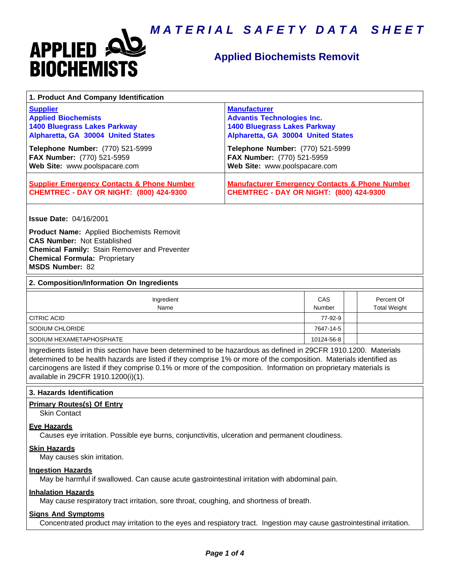



# **Applied Biochemists Removit**

| 1. Product And Company Identification                                                                                                                                                                                                                                                                                                                                                             |                                                                                                                                       |         |                                   |
|---------------------------------------------------------------------------------------------------------------------------------------------------------------------------------------------------------------------------------------------------------------------------------------------------------------------------------------------------------------------------------------------------|---------------------------------------------------------------------------------------------------------------------------------------|---------|-----------------------------------|
| <b>Supplier</b><br><b>Applied Biochemists</b><br><b>1400 Bluegrass Lakes Parkway</b><br>Alpharetta, GA 30004 United States                                                                                                                                                                                                                                                                        | <b>Manufacturer</b><br><b>Advantis Technologies Inc.</b><br><b>1400 Bluegrass Lakes Parkway</b><br>Alpharetta, GA 30004 United States |         |                                   |
| Telephone Number: (770) 521-5999<br>FAX Number: (770) 521-5959<br>Web Site: www.poolspacare.com                                                                                                                                                                                                                                                                                                   | Telephone Number: (770) 521-5999<br>FAX Number: (770) 521-5959<br>Web Site: www.poolspacare.com                                       |         |                                   |
| <b>Supplier Emergency Contacts &amp; Phone Number</b><br><b>CHEMTREC - DAY OR NIGHT: (800) 424-9300</b>                                                                                                                                                                                                                                                                                           | <b>Manufacturer Emergency Contacts &amp; Phone Number</b><br><b>CHEMTREC - DAY OR NIGHT: (800) 424-9300</b>                           |         |                                   |
| <b>Issue Date: 04/16/2001</b><br><b>Product Name:</b> Applied Biochemists Removit<br><b>CAS Number: Not Established</b><br><b>Chemical Family: Stain Remover and Preventer</b><br><b>Chemical Formula: Proprietary</b><br><b>MSDS Number: 82</b>                                                                                                                                                  |                                                                                                                                       |         |                                   |
| 2. Composition/Information On Ingredients                                                                                                                                                                                                                                                                                                                                                         |                                                                                                                                       |         |                                   |
| Ingredient<br>Name                                                                                                                                                                                                                                                                                                                                                                                | CAS<br>Number                                                                                                                         |         | Percent Of<br><b>Total Weight</b> |
| <b>CITRIC ACID</b>                                                                                                                                                                                                                                                                                                                                                                                |                                                                                                                                       | 77-92-9 |                                   |
| SODIUM CHLORIDE                                                                                                                                                                                                                                                                                                                                                                                   | 7647-14-5                                                                                                                             |         |                                   |
| SODIUM HEXAMETAPHOSPHATE                                                                                                                                                                                                                                                                                                                                                                          | 10124-56-8                                                                                                                            |         |                                   |
| Ingredients listed in this section have been determined to be hazardous as defined in 29CFR 1910.1200. Materials<br>determined to be health hazards are listed if they comprise 1% or more of the composition. Materials identified as<br>carcinogens are listed if they comprise 0.1% or more of the composition. Information on proprietary materials is<br>available in 29CFR 1910.1200(i)(1). |                                                                                                                                       |         |                                   |

**3. Hazards Identification**

# **Primary Routes(s) Of Entry**

Skin Contact

### **Eye Hazards**

Causes eye irritation. Possible eye burns, conjunctivitis, ulceration and permanent cloudiness.

# **Skin Hazards**

May causes skin irritation.

#### **Ingestion Hazards**

May be harmful if swallowed. Can cause acute gastrointestinal irritation with abdominal pain.

### **Inhalation Hazards**

May cause respiratory tract irritation, sore throat, coughing, and shortness of breath.

# **Signs And Symptoms**

Concentrated product may irritation to the eyes and respiatory tract. Ingestion may cause gastrointestinal irritation.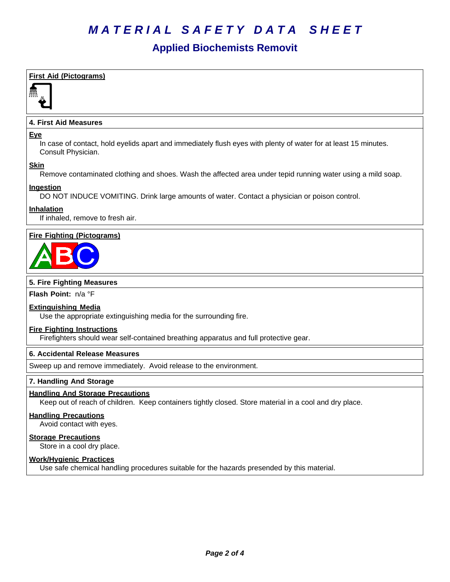# *MATERIAL SAFETY DATA SHEET*

# **Applied Biochemists Removit**

# **First Aid (Pictograms)**



# **4. First Aid Measures**

### **Eye**

In case of contact, hold eyelids apart and immediately flush eyes with plenty of water for at least 15 minutes. Consult Physician.

# **Skin**

Remove contaminated clothing and shoes. Wash the affected area under tepid running water using a mild soap.

# **Ingestion**

DO NOT INDUCE VOMITING. Drink large amounts of water. Contact a physician or poison control.

# **Inhalation**

If inhaled, remove to fresh air.

# **Fire Fighting (Pictograms)**



# **5. Fire Fighting Measures**

**Flash Point:** n/a°F

# **Extinguishing Media**

Use the appropriate extinguishing media for the surrounding fire.

# **Fire Fighting Instructions**

Firefighters should wear self-contained breathing apparatus and full protective gear.

# **6.Accidental ReleaseMeasures**

Sweep up and remove immediately. Avoid release to the environment.

# **7. Handling And Storage**

# **Handling And Storage Precautions**

Keep out of reach of children. Keep containers tightly closed. Store material in a cool and dry place.

# **Handling Precautions**

Avoid contact with eyes.

# **Storage Precautions**

Store in a cool dry place.

# **Work/Hygienic Practices**

Use safe chemical handling procedures suitable for the hazards presended by this material.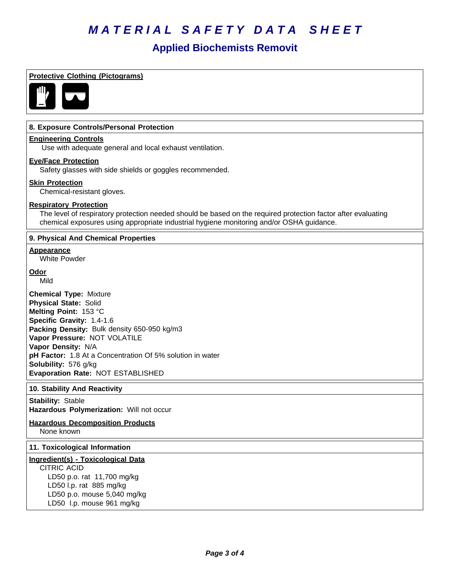# *MATERIAL SAFETY DATA SHEET*

# **Applied Biochemists Removit**

# **Protective Clothing (Pictograms)**



# **8. Exposure Controls/Personal Protection**

### **Engineering Controls**

Use with adequate general and local exhaust ventilation.

# **Eye/Face Protection**

Safety glasses with side shields or goggles recommended.

#### **Skin Protection**

Chemical-resistant gloves.

### **Respiratory Protection**

The level of respiratory protection needed should be based on the required protection factor after evaluating chemical exposures using appropriate industrial hygiene monitoring and/or OSHA guidance.

# **9. Physical And Chemical Properties**

#### **Appearance**

White Powder

# **Odor**

Mild

**Chemical Type:** Mixture **Physical State:** Solid **Melting Point:** 153°C **Specific Gravity:** 1.4-1.6 **Packing Density:** Bulk density 650-950 kg/m3 **Vapor Pressure:** NOT VOLATILE **Vapor Density:** N/A pH Factor: 1.8 At a Concentration Of 5% solution in water **Solubility: 576 g/kg Evaporation Rate:** NOT ESTABLISHED

# **10. Stability And Reactivity**

**Stability: Stable Hazardous Polymerization: Will not occur** 

# **Hazardous Decomposition Products**

None known

### **11. Toxicological Information**

# **Ingredient(s) - Toxicological Data**

CITRIC ACID LD50 p.o. rat 11,700 mg/kg LD50 l.p. rat 885 mg/kg LD50 p.o. mouse 5,040 mg/kg LD50 l.p. mouse 961 mg/kg